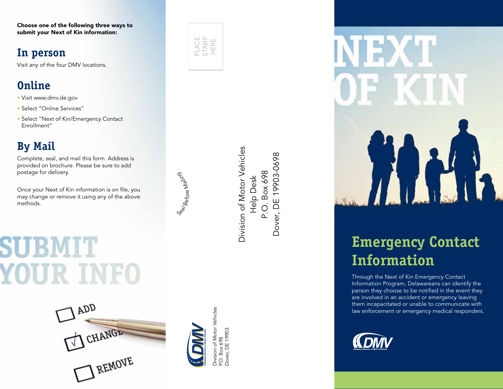Choose one of the following three ways to submit your Next of Kin information:

### **In person**

Visit any of the four DMV locations.

## **Online**

- Visit www.dmv.de.gov
- Select "Online Services"
- Select "Next of Kin/Emergency Contact Enrollment"

## **By Mail**

Complete, seal, and mail this form. Address is provided on brochure. Please be sure to add postage for delivery.

Once your Next of Kin information is on file, you may change or remove it using any of the above methods.

# **YOUR INFO**





Se<sub>al Before Mail nise</sub>o

**Division of Motor Vehicles** Division of Motor Vehicles Dover, DE 19903-0698 Dover, DE 19903-0698 Help Desk<br>P.O. Box 698 P.O. Box 698

Division of Motor Vehicles<br>P.O. Box 698<br>Dover, DE 19903 Division of Motor Vehicles Dover, DE 19903 P.O. Box 698



## **Emergency Contact Information**

Through the Next of Kin Emergency Contact Information Program, Delawareans can identify the person they choose to be notified in the event they are involved in an accident or emergency leaving them incapacitated or unable to communicate with law enforcement or emergency medical responders.